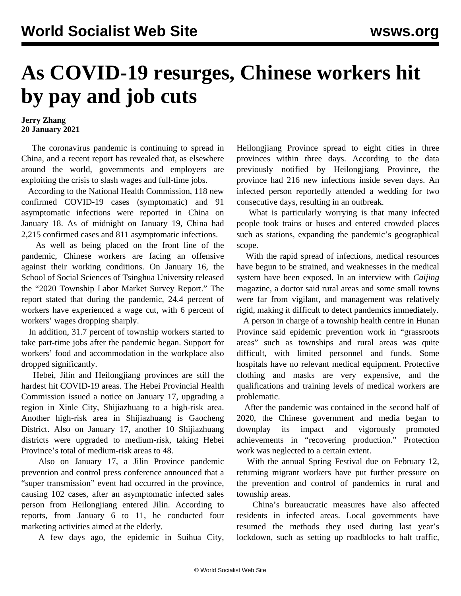## **As COVID-19 resurges, Chinese workers hit by pay and job cuts**

## **Jerry Zhang 20 January 2021**

 The coronavirus pandemic is continuing to spread in China, and a recent report has revealed that, as elsewhere around the world, governments and employers are exploiting the crisis to slash wages and full-time jobs.

 According to the National Health Commission, 118 new confirmed COVID-19 cases (symptomatic) and 91 asymptomatic infections were reported in China on January 18. As of midnight on January 19, China had 2,215 confirmed cases and 811 asymptomatic infections.

 As well as being placed on the front line of the pandemic, Chinese workers are facing an offensive against their working conditions. On January 16, the School of Social Sciences of Tsinghua University released the "2020 Township Labor Market Survey Report." The report stated that during the pandemic, 24.4 percent of workers have experienced a wage cut, with 6 percent of workers' wages dropping sharply.

 In addition, 31.7 percent of township workers started to take part-time jobs after the pandemic began. Support for workers' food and accommodation in the workplace also dropped significantly.

 Hebei, Jilin and Heilongjiang provinces are still the hardest hit COVID-19 areas. The Hebei Provincial Health Commission issued a notice on January 17, upgrading a region in Xinle City, Shijiazhuang to a high-risk area. Another high-risk area in Shijiazhuang is Gaocheng District. Also on January 17, another 10 Shijiazhuang districts were upgraded to medium-risk, taking Hebei Province's total of medium-risk areas to 48.

 Also on January 17, a Jilin Province pandemic prevention and control press conference announced that a "super transmission" event had occurred in the province, causing 102 cases, after an asymptomatic infected sales person from Heilongjiang entered Jilin. According to reports, from January 6 to 11, he conducted four marketing activities aimed at the elderly.

A few days ago, the epidemic in Suihua City,

Heilongjiang Province spread to eight cities in three provinces within three days. According to the data previously notified by Heilongjiang Province, the province had 216 new infections inside seven days. An infected person reportedly attended a wedding for two consecutive days, resulting in an outbreak.

 What is particularly worrying is that many infected people took trains or buses and entered crowded places such as stations, expanding the pandemic's geographical scope.

 With the rapid spread of infections, medical resources have begun to be strained, and weaknesses in the medical system have been exposed. In an interview with *Caijing* magazine, a doctor said rural areas and some small towns were far from vigilant, and management was relatively rigid, making it difficult to detect pandemics immediately.

 A person in charge of a township health centre in Hunan Province said epidemic prevention work in "grassroots areas" such as townships and rural areas was quite difficult, with limited personnel and funds. Some hospitals have no relevant medical equipment. Protective clothing and masks are very expensive, and the qualifications and training levels of medical workers are problematic.

 After the pandemic was contained in the second half of 2020, the Chinese government and media began to downplay its impact and vigorously promoted achievements in "recovering production." Protection work was neglected to a certain extent.

 With the annual Spring Festival due on February 12, returning migrant workers have put further pressure on the prevention and control of pandemics in rural and township areas.

 China's bureaucratic measures have also affected residents in infected areas. Local governments have resumed the methods they used during last year's lockdown, such as setting up roadblocks to halt traffic,